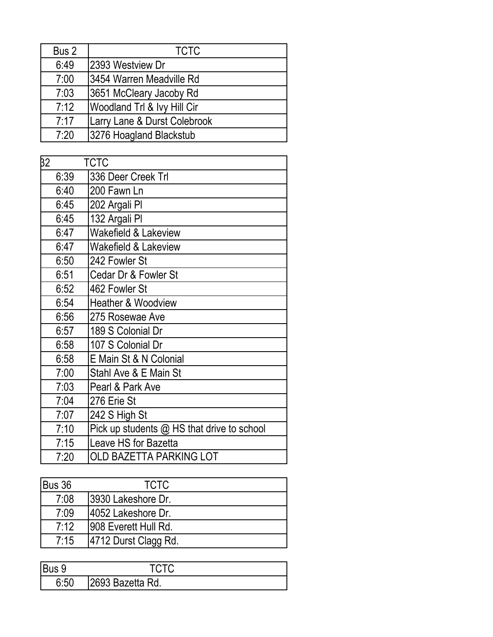| Bus 2 | <b>TCTC</b>                  |
|-------|------------------------------|
| 6:49  | 2393 Westview Dr             |
| 7:00  | 3454 Warren Meadville Rd     |
| 7:03  | 3651 McCleary Jacoby Rd      |
| 7:12  | Woodland Trl & Ivy Hill Cir  |
| 7:17  | Larry Lane & Durst Colebrook |
| 7:20  | 3276 Hoagland Blackstub      |

| 32   | <b>TCTC</b>                                |
|------|--------------------------------------------|
| 6:39 | 336 Deer Creek Trl                         |
| 6:40 | 200 Fawn Ln                                |
| 6:45 | 202 Argali PI                              |
| 6:45 | 132 Argali PI                              |
| 6:47 | Wakefield & Lakeview                       |
| 6:47 | Wakefield & Lakeview                       |
| 6:50 | 242 Fowler St                              |
| 6:51 | Cedar Dr & Fowler St                       |
| 6:52 | 462 Fowler St                              |
| 6:54 | <b>Heather &amp; Woodview</b>              |
| 6:56 | 275 Rosewae Ave                            |
| 6:57 | 189 S Colonial Dr                          |
| 6:58 | 107 S Colonial Dr                          |
| 6:58 | E Main St & N Colonial                     |
| 7:00 | Stahl Ave & E Main St                      |
| 7:03 | Pearl & Park Ave                           |
| 7:04 | 276 Erie St                                |
| 7:07 | 242 S High St                              |
| 7:10 | Pick up students @ HS that drive to school |
| 7:15 | Leave HS for Bazetta                       |
| 7:20 | OLD BAZETTA PARKING LOT                    |

| Bus 36 | <b>TCTC</b>           |  |
|--------|-----------------------|--|
| 7:08   | 13930 Lakeshore Dr.   |  |
| 7:09   | 14052 Lakeshore Dr.   |  |
| 7:12   | 1908 Everett Hull Rd. |  |
| 7:15   | 4712 Durst Clagg Rd.  |  |

| <br>2693 Bazetta Rd. |
|----------------------|